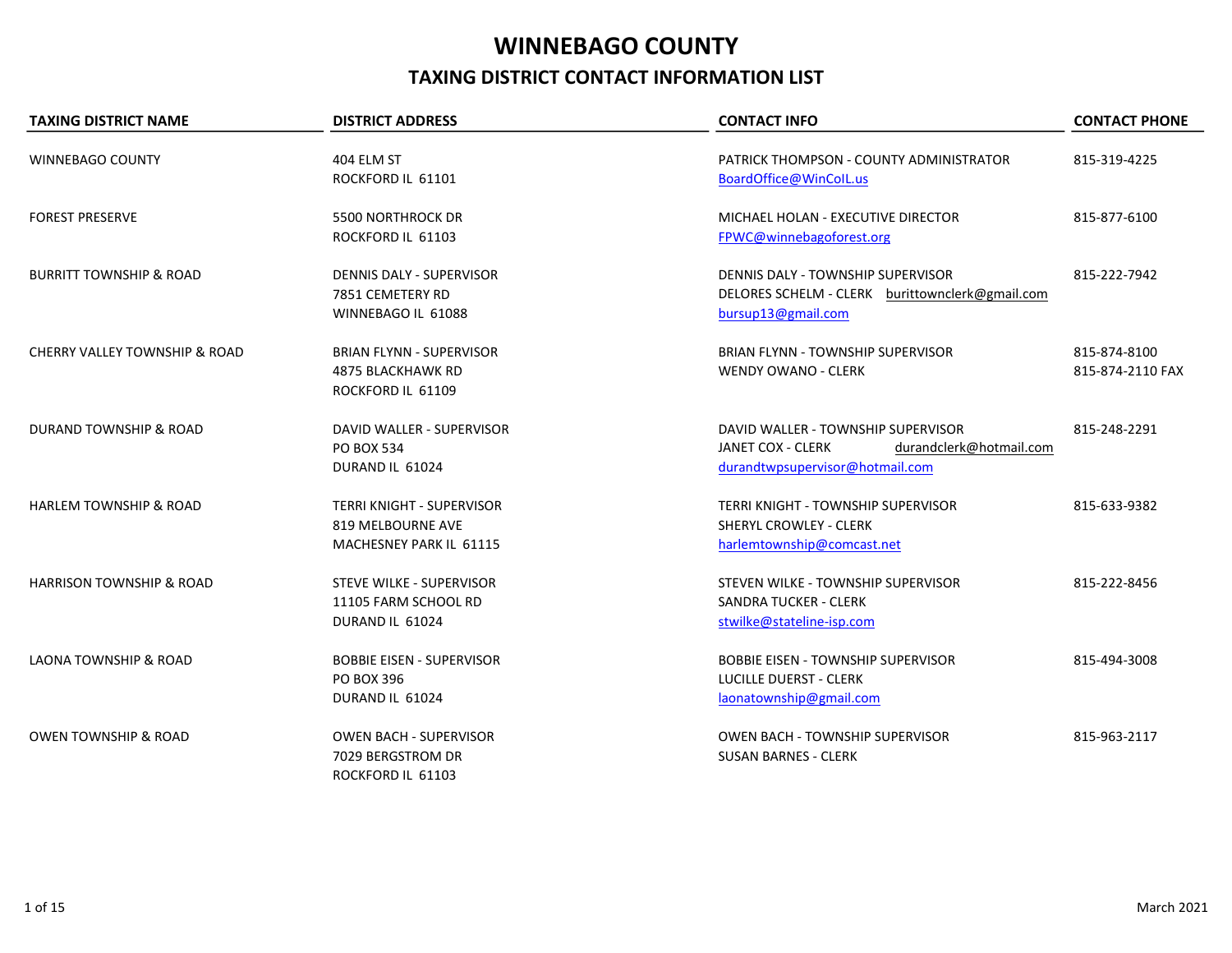## WINNEBAGO COUNTY TAXING DISTRICT CONTACT INFORMATION LIST

| <b>TAXING DISTRICT NAME</b>              | <b>DISTRICT ADDRESS</b>                                                          | <b>CONTACT INFO</b>                                                                                                          | <b>CONTACT PHONE</b>             |
|------------------------------------------|----------------------------------------------------------------------------------|------------------------------------------------------------------------------------------------------------------------------|----------------------------------|
| <b>WINNEBAGO COUNTY</b>                  | 404 ELM ST<br>ROCKFORD IL 61101                                                  | PATRICK THOMPSON - COUNTY ADMINISTRATOR<br>BoardOffice@WinColL.us                                                            | 815-319-4225                     |
| <b>FOREST PRESERVE</b>                   | <b>5500 NORTHROCK DR</b><br>ROCKFORD IL 61103                                    | MICHAEL HOLAN - EXECUTIVE DIRECTOR<br>FPWC@winnebagoforest.org                                                               | 815-877-6100                     |
| <b>BURRITT TOWNSHIP &amp; ROAD</b>       | DENNIS DALY - SUPERVISOR<br>7851 CEMETERY RD<br>WINNEBAGO IL 61088               | DENNIS DALY - TOWNSHIP SUPERVISOR<br>DELORES SCHELM - CLERK burittownclerk@gmail.com<br>bursup13@gmail.com                   | 815-222-7942                     |
| <b>CHERRY VALLEY TOWNSHIP &amp; ROAD</b> | <b>BRIAN FLYNN - SUPERVISOR</b><br><b>4875 BLACKHAWK RD</b><br>ROCKFORD IL 61109 | <b>BRIAN FLYNN - TOWNSHIP SUPERVISOR</b><br><b>WENDY OWANO - CLERK</b>                                                       | 815-874-8100<br>815-874-2110 FAX |
| <b>DURAND TOWNSHIP &amp; ROAD</b>        | DAVID WALLER - SUPERVISOR<br>PO BOX 534<br>DURAND IL 61024                       | DAVID WALLER - TOWNSHIP SUPERVISOR<br><b>JANET COX - CLERK</b><br>durandclerk@hotmail.com<br>durandtwpsupervisor@hotmail.com | 815-248-2291                     |
| <b>HARLEM TOWNSHIP &amp; ROAD</b>        | <b>TERRI KNIGHT - SUPERVISOR</b><br>819 MELBOURNE AVE<br>MACHESNEY PARK IL 61115 | <b>TERRI KNIGHT - TOWNSHIP SUPERVISOR</b><br>SHERYL CROWLEY - CLERK<br>harlemtownship@comcast.net                            | 815-633-9382                     |
| <b>HARRISON TOWNSHIP &amp; ROAD</b>      | <b>STEVE WILKE - SUPERVISOR</b><br>11105 FARM SCHOOL RD<br>DURAND IL 61024       | STEVEN WILKE - TOWNSHIP SUPERVISOR<br><b>SANDRA TUCKER - CLERK</b><br>stwilke@stateline-isp.com                              | 815-222-8456                     |
| LAONA TOWNSHIP & ROAD                    | <b>BOBBIE EISEN - SUPERVISOR</b><br><b>PO BOX 396</b><br>DURAND IL 61024         | <b>BOBBIE EISEN - TOWNSHIP SUPERVISOR</b><br><b>LUCILLE DUERST - CLERK</b><br>laonatownship@gmail.com                        | 815-494-3008                     |
| <b>OWEN TOWNSHIP &amp; ROAD</b>          | <b>OWEN BACH - SUPERVISOR</b><br>7029 BERGSTROM DR<br>ROCKFORD IL 61103          | <b>OWEN BACH - TOWNSHIP SUPERVISOR</b><br><b>SUSAN BARNES - CLERK</b>                                                        | 815-963-2117                     |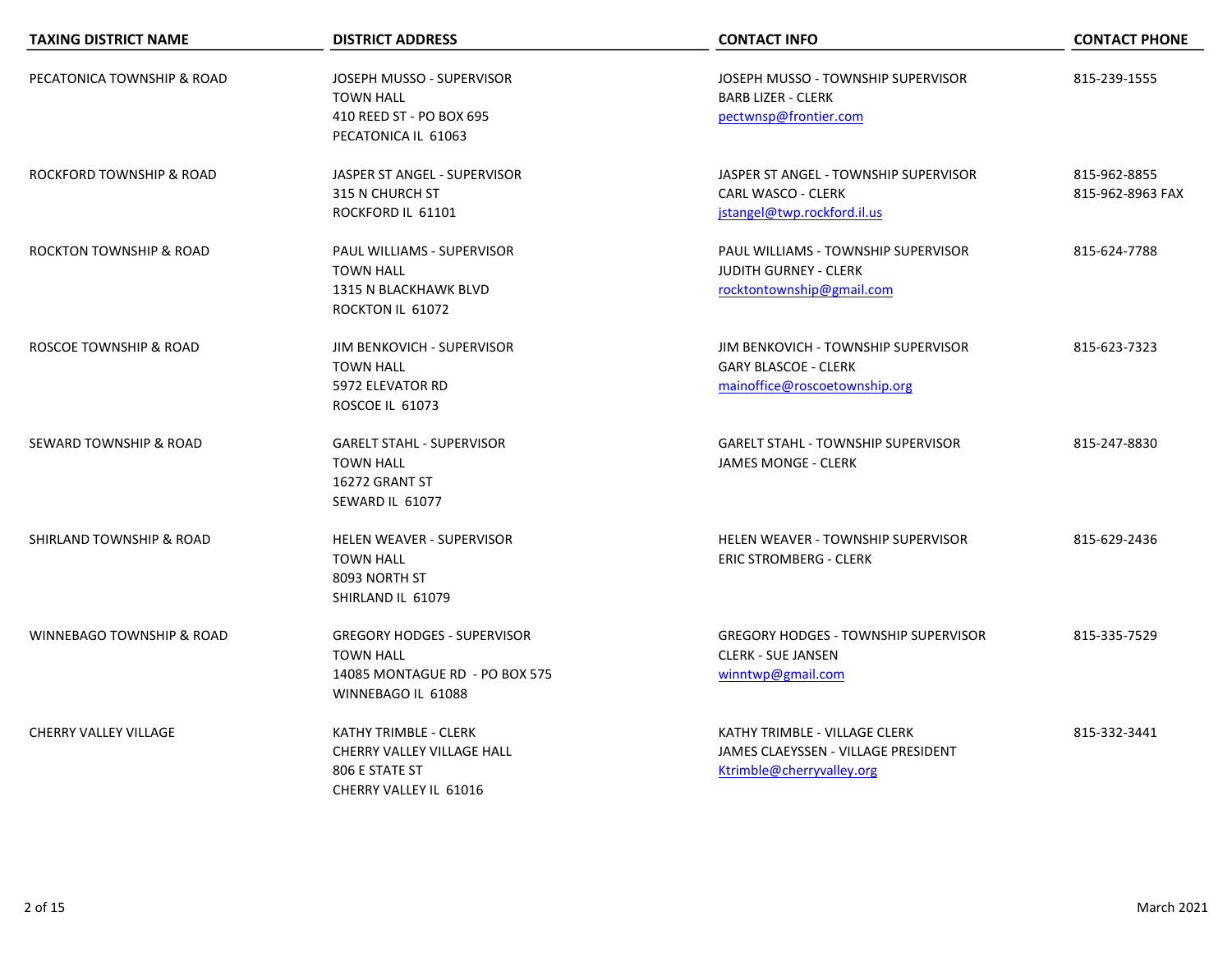| <b>TAXING DISTRICT NAME</b>          | <b>DISTRICT ADDRESS</b>                                                                                        | <b>CONTACT INFO</b>                                                                                 | <b>CONTACT PHONE</b>             |
|--------------------------------------|----------------------------------------------------------------------------------------------------------------|-----------------------------------------------------------------------------------------------------|----------------------------------|
| PECATONICA TOWNSHIP & ROAD           | JOSEPH MUSSO - SUPERVISOR<br><b>TOWN HALL</b><br>410 REED ST - PO BOX 695<br>PECATONICA IL 61063               | JOSEPH MUSSO - TOWNSHIP SUPERVISOR<br><b>BARB LIZER - CLERK</b><br>pectwnsp@frontier.com            | 815-239-1555                     |
| ROCKFORD TOWNSHIP & ROAD             | JASPER ST ANGEL - SUPERVISOR<br>315 N CHURCH ST<br>ROCKFORD IL 61101                                           | JASPER ST ANGEL - TOWNSHIP SUPERVISOR<br><b>CARL WASCO - CLERK</b><br>jstangel@twp.rockford.il.us   | 815-962-8855<br>815-962-8963 FAX |
| ROCKTON TOWNSHIP & ROAD              | PAUL WILLIAMS - SUPERVISOR<br><b>TOWN HALL</b><br>1315 N BLACKHAWK BLVD<br>ROCKTON IL 61072                    | PAUL WILLIAMS - TOWNSHIP SUPERVISOR<br><b>JUDITH GURNEY - CLERK</b><br>rocktontownship@gmail.com    | 815-624-7788                     |
| ROSCOE TOWNSHIP & ROAD               | JIM BENKOVICH - SUPERVISOR<br><b>TOWN HALL</b><br>5972 ELEVATOR RD<br><b>ROSCOE IL 61073</b>                   | JIM BENKOVICH - TOWNSHIP SUPERVISOR<br><b>GARY BLASCOE - CLERK</b><br>mainoffice@roscoetownship.org | 815-623-7323                     |
| SEWARD TOWNSHIP & ROAD               | <b>GARELT STAHL - SUPERVISOR</b><br><b>TOWN HALL</b><br>16272 GRANT ST<br>SEWARD IL 61077                      | <b>GARELT STAHL - TOWNSHIP SUPERVISOR</b><br><b>JAMES MONGE - CLERK</b>                             | 815-247-8830                     |
| SHIRLAND TOWNSHIP & ROAD             | <b>HELEN WEAVER - SUPERVISOR</b><br><b>TOWN HALL</b><br>8093 NORTH ST<br>SHIRLAND IL 61079                     | <b>HELEN WEAVER - TOWNSHIP SUPERVISOR</b><br><b>ERIC STROMBERG - CLERK</b>                          | 815-629-2436                     |
| <b>WINNEBAGO TOWNSHIP &amp; ROAD</b> | <b>GREGORY HODGES - SUPERVISOR</b><br><b>TOWN HALL</b><br>14085 MONTAGUE RD - PO BOX 575<br>WINNEBAGO IL 61088 | <b>GREGORY HODGES - TOWNSHIP SUPERVISOR</b><br><b>CLERK - SUE JANSEN</b><br>winntwp@gmail.com       | 815-335-7529                     |
| <b>CHERRY VALLEY VILLAGE</b>         | KATHY TRIMBLE - CLERK<br>CHERRY VALLEY VILLAGE HALL<br>806 E STATE ST<br>CHERRY VALLEY IL 61016                | KATHY TRIMBLE - VILLAGE CLERK<br>JAMES CLAEYSSEN - VILLAGE PRESIDENT<br>Ktrimble@cherryvalley.org   | 815-332-3441                     |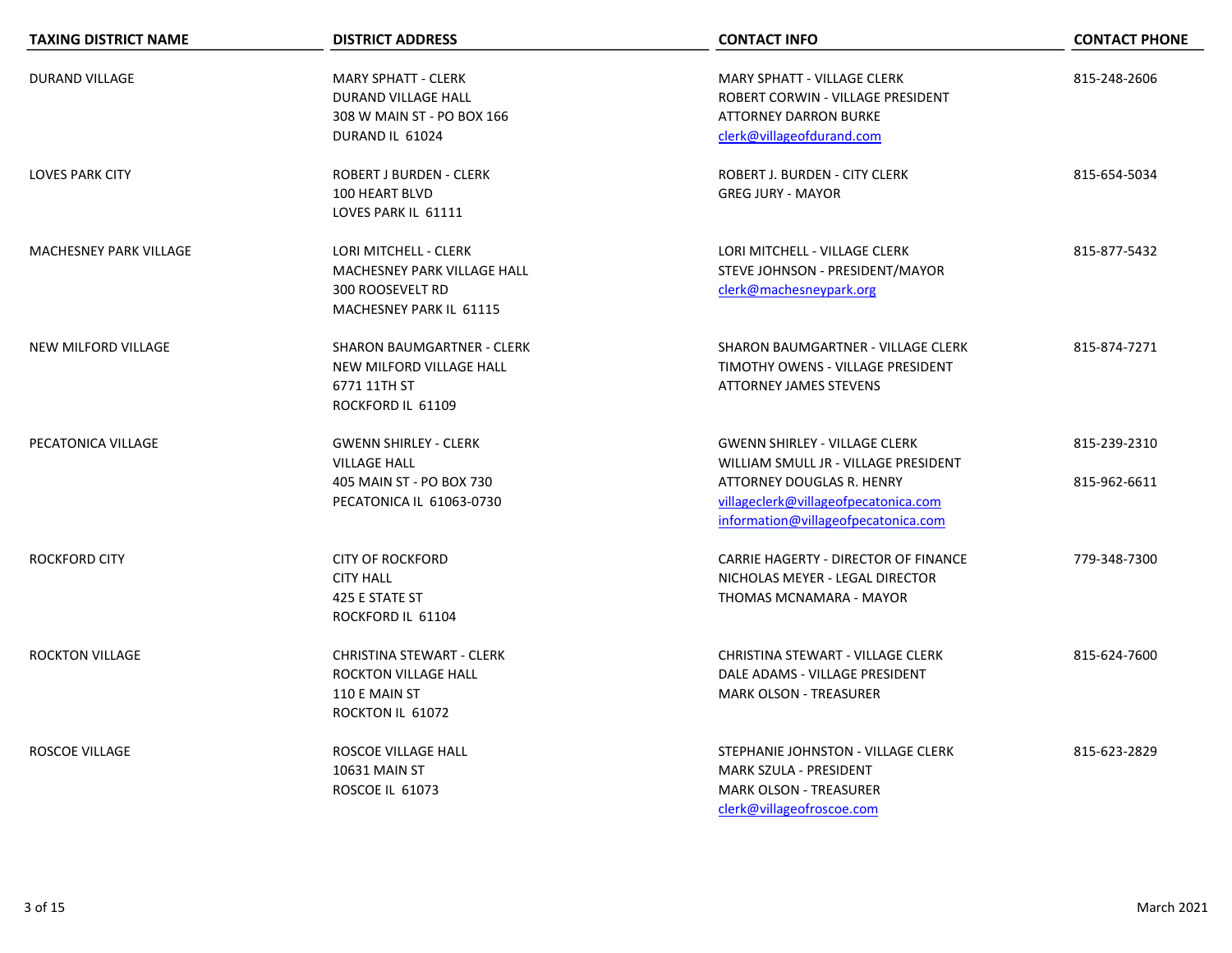| <b>TAXING DISTRICT NAME</b> | <b>DISTRICT ADDRESS</b>                                                                                     | <b>CONTACT INFO</b>                                                                                                                                                                      | <b>CONTACT PHONE</b>         |
|-----------------------------|-------------------------------------------------------------------------------------------------------------|------------------------------------------------------------------------------------------------------------------------------------------------------------------------------------------|------------------------------|
| <b>DURAND VILLAGE</b>       | <b>MARY SPHATT - CLERK</b><br><b>DURAND VILLAGE HALL</b><br>308 W MAIN ST - PO BOX 166<br>DURAND IL 61024   | <b>MARY SPHATT - VILLAGE CLERK</b><br>ROBERT CORWIN - VILLAGE PRESIDENT<br><b>ATTORNEY DARRON BURKE</b><br>clerk@villageofdurand.com                                                     | 815-248-2606                 |
| <b>LOVES PARK CITY</b>      | ROBERT J BURDEN - CLERK<br>100 HEART BLVD<br>LOVES PARK IL 61111                                            | <b>ROBERT J. BURDEN - CITY CLERK</b><br><b>GREG JURY - MAYOR</b>                                                                                                                         | 815-654-5034                 |
| MACHESNEY PARK VILLAGE      | LORI MITCHELL - CLERK<br>MACHESNEY PARK VILLAGE HALL<br><b>300 ROOSEVELT RD</b><br>MACHESNEY PARK IL 61115  | LORI MITCHELL - VILLAGE CLERK<br>STEVE JOHNSON - PRESIDENT/MAYOR<br>clerk@machesneypark.org                                                                                              | 815-877-5432                 |
| <b>NEW MILFORD VILLAGE</b>  | <b>SHARON BAUMGARTNER - CLERK</b><br>NEW MILFORD VILLAGE HALL<br>6771 11TH ST<br>ROCKFORD IL 61109          | SHARON BAUMGARTNER - VILLAGE CLERK<br>TIMOTHY OWENS - VILLAGE PRESIDENT<br><b>ATTORNEY JAMES STEVENS</b>                                                                                 | 815-874-7271                 |
| PECATONICA VILLAGE          | <b>GWENN SHIRLEY - CLERK</b><br><b>VILLAGE HALL</b><br>405 MAIN ST - PO BOX 730<br>PECATONICA IL 61063-0730 | <b>GWENN SHIRLEY - VILLAGE CLERK</b><br>WILLIAM SMULL JR - VILLAGE PRESIDENT<br>ATTORNEY DOUGLAS R. HENRY<br>villageclerk@villageofpecatonica.com<br>information@villageofpecatonica.com | 815-239-2310<br>815-962-6611 |
| <b>ROCKFORD CITY</b>        | <b>CITY OF ROCKFORD</b><br><b>CITY HALL</b><br>425 E STATE ST<br>ROCKFORD IL 61104                          | CARRIE HAGERTY - DIRECTOR OF FINANCE<br>NICHOLAS MEYER - LEGAL DIRECTOR<br>THOMAS MCNAMARA - MAYOR                                                                                       | 779-348-7300                 |
| <b>ROCKTON VILLAGE</b>      | <b>CHRISTINA STEWART - CLERK</b><br>ROCKTON VILLAGE HALL<br>110 E MAIN ST<br>ROCKTON IL 61072               | CHRISTINA STEWART - VILLAGE CLERK<br>DALE ADAMS - VILLAGE PRESIDENT<br><b>MARK OLSON - TREASURER</b>                                                                                     | 815-624-7600                 |
| <b>ROSCOE VILLAGE</b>       | ROSCOE VILLAGE HALL<br><b>10631 MAIN ST</b><br><b>ROSCOE IL 61073</b>                                       | STEPHANIE JOHNSTON - VILLAGE CLERK<br><b>MARK SZULA - PRESIDENT</b><br><b>MARK OLSON - TREASURER</b><br>clerk@villageofroscoe.com                                                        | 815-623-2829                 |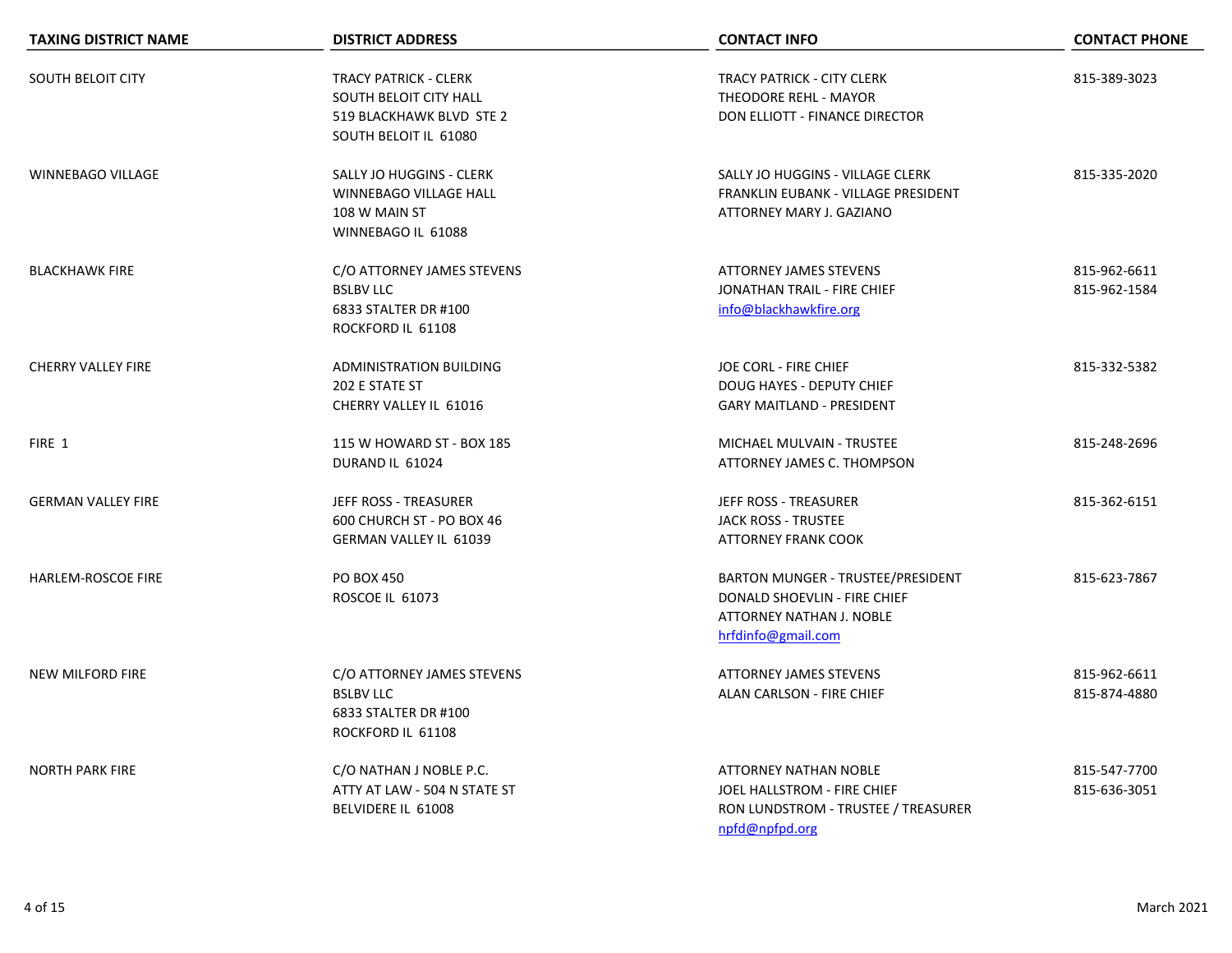| <b>TAXING DISTRICT NAME</b> | <b>DISTRICT ADDRESS</b>                                                                                     | <b>CONTACT INFO</b>                                                                                                        | <b>CONTACT PHONE</b>         |
|-----------------------------|-------------------------------------------------------------------------------------------------------------|----------------------------------------------------------------------------------------------------------------------------|------------------------------|
| <b>SOUTH BELOIT CITY</b>    | <b>TRACY PATRICK - CLERK</b><br>SOUTH BELOIT CITY HALL<br>519 BLACKHAWK BLVD STE 2<br>SOUTH BELOIT IL 61080 | <b>TRACY PATRICK - CITY CLERK</b><br>THEODORE REHL - MAYOR<br>DON ELLIOTT - FINANCE DIRECTOR                               | 815-389-3023                 |
| <b>WINNEBAGO VILLAGE</b>    | SALLY JO HUGGINS - CLERK<br>WINNEBAGO VILLAGE HALL<br>108 W MAIN ST<br>WINNEBAGO IL 61088                   | SALLY JO HUGGINS - VILLAGE CLERK<br>FRANKLIN EUBANK - VILLAGE PRESIDENT<br>ATTORNEY MARY J. GAZIANO                        | 815-335-2020                 |
| <b>BLACKHAWK FIRE</b>       | C/O ATTORNEY JAMES STEVENS<br><b>BSLBV LLC</b><br>6833 STALTER DR #100<br>ROCKFORD IL 61108                 | <b>ATTORNEY JAMES STEVENS</b><br>JONATHAN TRAIL - FIRE CHIEF<br>info@blackhawkfire.org                                     | 815-962-6611<br>815-962-1584 |
| <b>CHERRY VALLEY FIRE</b>   | ADMINISTRATION BUILDING<br>202 E STATE ST<br>CHERRY VALLEY IL 61016                                         | JOE CORL - FIRE CHIEF<br><b>DOUG HAYES - DEPUTY CHIEF</b><br><b>GARY MAITLAND - PRESIDENT</b>                              | 815-332-5382                 |
| FIRE 1                      | 115 W HOWARD ST - BOX 185<br>DURAND IL 61024                                                                | MICHAEL MULVAIN - TRUSTEE<br>ATTORNEY JAMES C. THOMPSON                                                                    | 815-248-2696                 |
| <b>GERMAN VALLEY FIRE</b>   | JEFF ROSS - TREASURER<br>600 CHURCH ST - PO BOX 46<br><b>GERMAN VALLEY IL 61039</b>                         | JEFF ROSS - TREASURER<br><b>JACK ROSS - TRUSTEE</b><br><b>ATTORNEY FRANK COOK</b>                                          | 815-362-6151                 |
| <b>HARLEM-ROSCOE FIRE</b>   | <b>PO BOX 450</b><br>ROSCOE IL 61073                                                                        | BARTON MUNGER - TRUSTEE/PRESIDENT<br>DONALD SHOEVLIN - FIRE CHIEF<br><b>ATTORNEY NATHAN J. NOBLE</b><br>hrfdinfo@gmail.com | 815-623-7867                 |
| <b>NEW MILFORD FIRE</b>     | C/O ATTORNEY JAMES STEVENS<br><b>BSLBV LLC</b><br>6833 STALTER DR #100<br>ROCKFORD IL 61108                 | <b>ATTORNEY JAMES STEVENS</b><br>ALAN CARLSON - FIRE CHIEF                                                                 | 815-962-6611<br>815-874-4880 |
| <b>NORTH PARK FIRE</b>      | C/O NATHAN J NOBLE P.C.<br>ATTY AT LAW - 504 N STATE ST<br>BELVIDERE IL 61008                               | <b>ATTORNEY NATHAN NOBLE</b><br>JOEL HALLSTROM - FIRE CHIEF<br>RON LUNDSTROM - TRUSTEE / TREASURER<br>npfd@npfpd.org       | 815-547-7700<br>815-636-3051 |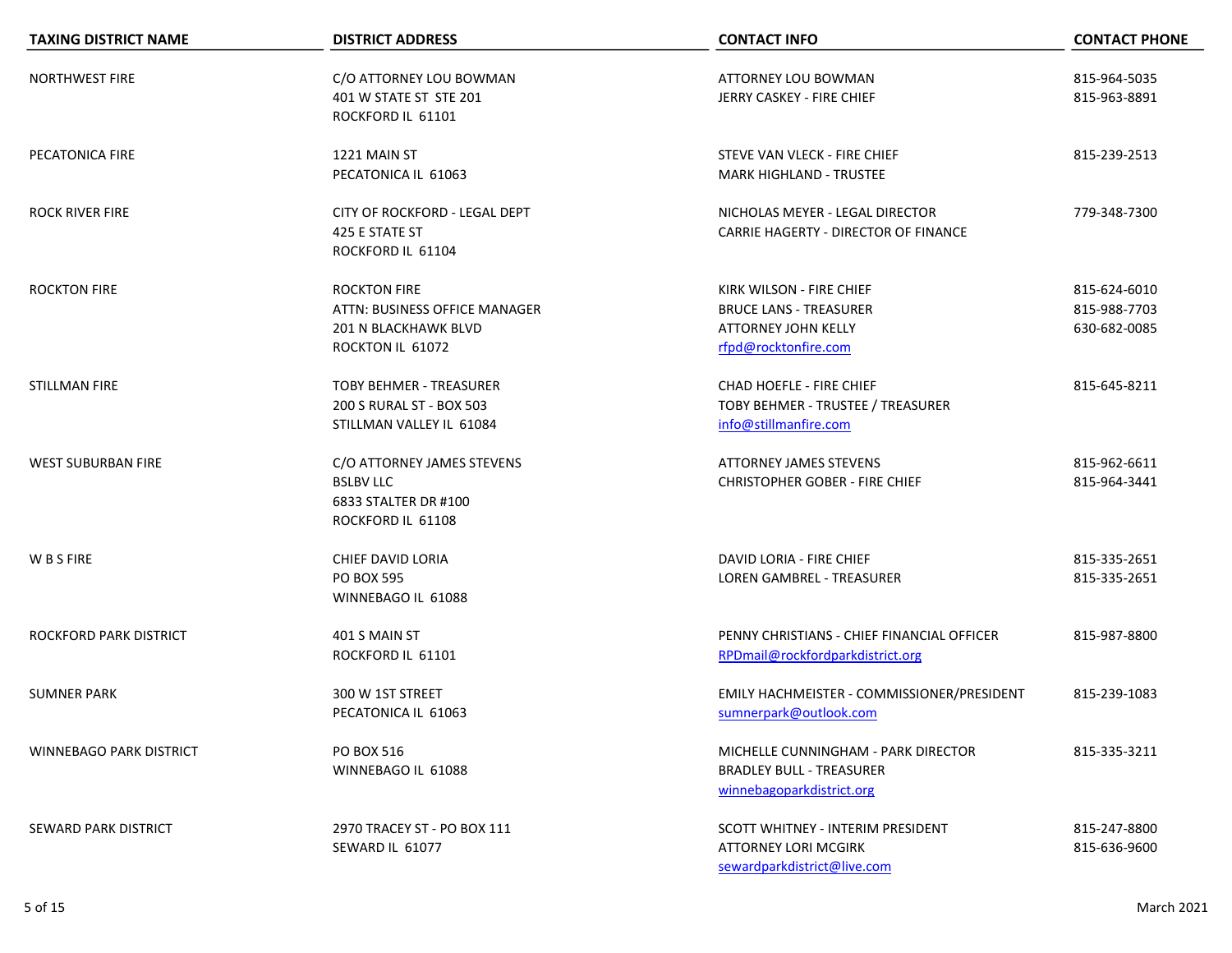| <b>TAXING DISTRICT NAME</b>    | <b>DISTRICT ADDRESS</b>                                                                          | <b>CONTACT INFO</b>                                                                                             | <b>CONTACT PHONE</b>                         |
|--------------------------------|--------------------------------------------------------------------------------------------------|-----------------------------------------------------------------------------------------------------------------|----------------------------------------------|
| <b>NORTHWEST FIRE</b>          | C/O ATTORNEY LOU BOWMAN<br>401 W STATE ST STE 201<br>ROCKFORD IL 61101                           | ATTORNEY LOU BOWMAN<br>JERRY CASKEY - FIRE CHIEF                                                                | 815-964-5035<br>815-963-8891                 |
| PECATONICA FIRE                | 1221 MAIN ST<br>PECATONICA IL 61063                                                              | STEVE VAN VLECK - FIRE CHIEF<br><b>MARK HIGHLAND - TRUSTEE</b>                                                  | 815-239-2513                                 |
| <b>ROCK RIVER FIRE</b>         | CITY OF ROCKFORD - LEGAL DEPT<br>425 E STATE ST<br>ROCKFORD IL 61104                             | NICHOLAS MEYER - LEGAL DIRECTOR<br>CARRIE HAGERTY - DIRECTOR OF FINANCE                                         | 779-348-7300                                 |
| <b>ROCKTON FIRE</b>            | <b>ROCKTON FIRE</b><br>ATTN: BUSINESS OFFICE MANAGER<br>201 N BLACKHAWK BLVD<br>ROCKTON IL 61072 | KIRK WILSON - FIRE CHIEF<br><b>BRUCE LANS - TREASURER</b><br><b>ATTORNEY JOHN KELLY</b><br>rfpd@rocktonfire.com | 815-624-6010<br>815-988-7703<br>630-682-0085 |
| <b>STILLMAN FIRE</b>           | <b>TOBY BEHMER - TREASURER</b><br>200 S RURAL ST - BOX 503<br>STILLMAN VALLEY IL 61084           | CHAD HOEFLE - FIRE CHIEF<br>TOBY BEHMER - TRUSTEE / TREASURER<br>info@stillmanfire.com                          | 815-645-8211                                 |
| <b>WEST SUBURBAN FIRE</b>      | C/O ATTORNEY JAMES STEVENS<br><b>BSLBV LLC</b><br>6833 STALTER DR #100<br>ROCKFORD IL 61108      | <b>ATTORNEY JAMES STEVENS</b><br><b>CHRISTOPHER GOBER - FIRE CHIEF</b>                                          | 815-962-6611<br>815-964-3441                 |
| W B S FIRE                     | CHIEF DAVID LORIA<br><b>PO BOX 595</b><br>WINNEBAGO IL 61088                                     | DAVID LORIA - FIRE CHIEF<br><b>LOREN GAMBREL - TREASURER</b>                                                    | 815-335-2651<br>815-335-2651                 |
| <b>ROCKFORD PARK DISTRICT</b>  | 401 S MAIN ST<br>ROCKFORD IL 61101                                                               | PENNY CHRISTIANS - CHIEF FINANCIAL OFFICER<br>RPDmail@rockfordparkdistrict.org                                  | 815-987-8800                                 |
| <b>SUMNER PARK</b>             | 300 W 1ST STREET<br>PECATONICA IL 61063                                                          | EMILY HACHMEISTER - COMMISSIONER/PRESIDENT<br>sumnerpark@outlook.com                                            | 815-239-1083                                 |
| <b>WINNEBAGO PARK DISTRICT</b> | PO BOX 516<br>WINNEBAGO IL 61088                                                                 | MICHELLE CUNNINGHAM - PARK DIRECTOR<br><b>BRADLEY BULL - TREASURER</b><br>winnebagoparkdistrict.org             | 815-335-3211                                 |
| SEWARD PARK DISTRICT           | 2970 TRACEY ST - PO BOX 111<br>SEWARD IL 61077                                                   | SCOTT WHITNEY - INTERIM PRESIDENT<br><b>ATTORNEY LORI MCGIRK</b><br>sewardparkdistrict@live.com                 | 815-247-8800<br>815-636-9600                 |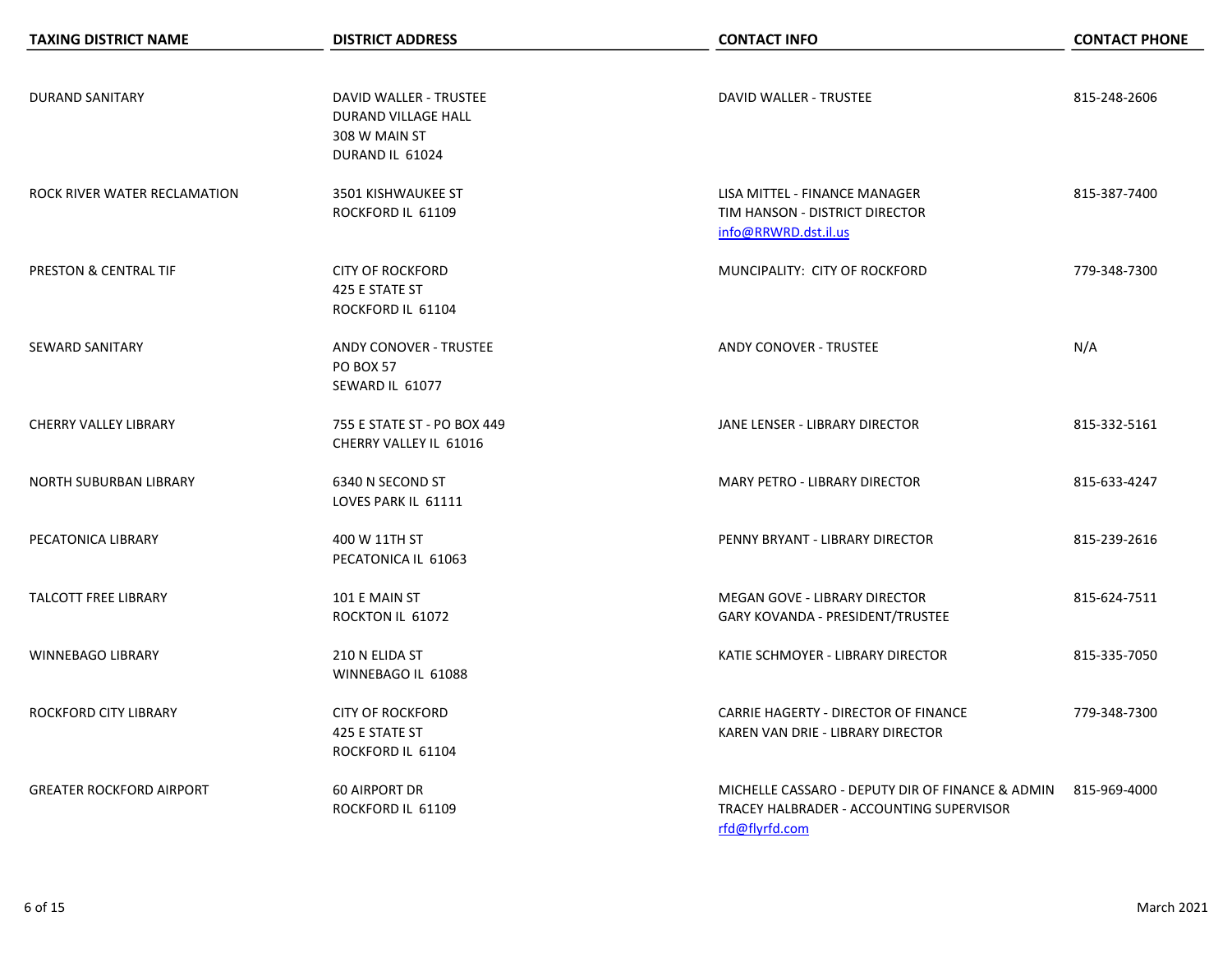| <b>TAXING DISTRICT NAME</b>      | <b>DISTRICT ADDRESS</b>                                                           | <b>CONTACT INFO</b>                                                                                                         | <b>CONTACT PHONE</b> |
|----------------------------------|-----------------------------------------------------------------------------------|-----------------------------------------------------------------------------------------------------------------------------|----------------------|
|                                  |                                                                                   |                                                                                                                             |                      |
| <b>DURAND SANITARY</b>           | DAVID WALLER - TRUSTEE<br>DURAND VILLAGE HALL<br>308 W MAIN ST<br>DURAND IL 61024 | <b>DAVID WALLER - TRUSTEE</b>                                                                                               | 815-248-2606         |
| ROCK RIVER WATER RECLAMATION     | 3501 KISHWAUKEE ST<br>ROCKFORD IL 61109                                           | LISA MITTEL - FINANCE MANAGER<br>TIM HANSON - DISTRICT DIRECTOR<br>info@RRWRD.dst.il.us                                     | 815-387-7400         |
| <b>PRESTON &amp; CENTRAL TIF</b> | <b>CITY OF ROCKFORD</b><br>425 E STATE ST<br>ROCKFORD IL 61104                    | MUNCIPALITY: CITY OF ROCKFORD                                                                                               | 779-348-7300         |
| <b>SEWARD SANITARY</b>           | <b>ANDY CONOVER - TRUSTEE</b><br><b>PO BOX 57</b><br>SEWARD IL 61077              | <b>ANDY CONOVER - TRUSTEE</b>                                                                                               | N/A                  |
| <b>CHERRY VALLEY LIBRARY</b>     | 755 E STATE ST - PO BOX 449<br>CHERRY VALLEY IL 61016                             | JANE LENSER - LIBRARY DIRECTOR                                                                                              | 815-332-5161         |
| NORTH SUBURBAN LIBRARY           | 6340 N SECOND ST<br>LOVES PARK IL 61111                                           | MARY PETRO - LIBRARY DIRECTOR                                                                                               | 815-633-4247         |
| PECATONICA LIBRARY               | 400 W 11TH ST<br>PECATONICA IL 61063                                              | PENNY BRYANT - LIBRARY DIRECTOR                                                                                             | 815-239-2616         |
| <b>TALCOTT FREE LIBRARY</b>      | 101 E MAIN ST<br>ROCKTON IL 61072                                                 | <b>MEGAN GOVE - LIBRARY DIRECTOR</b><br>GARY KOVANDA - PRESIDENT/TRUSTEE                                                    | 815-624-7511         |
| <b>WINNEBAGO LIBRARY</b>         | 210 N ELIDA ST<br>WINNEBAGO IL 61088                                              | KATIE SCHMOYER - LIBRARY DIRECTOR                                                                                           | 815-335-7050         |
| ROCKFORD CITY LIBRARY            | <b>CITY OF ROCKFORD</b><br>425 E STATE ST<br>ROCKFORD IL 61104                    | CARRIE HAGERTY - DIRECTOR OF FINANCE<br>KAREN VAN DRIE - LIBRARY DIRECTOR                                                   | 779-348-7300         |
| <b>GREATER ROCKFORD AIRPORT</b>  | <b>60 AIRPORT DR</b><br>ROCKFORD IL 61109                                         | MICHELLE CASSARO - DEPUTY DIR OF FINANCE & ADMIN 815-969-4000<br>TRACEY HALBRADER - ACCOUNTING SUPERVISOR<br>rfd@flyrfd.com |                      |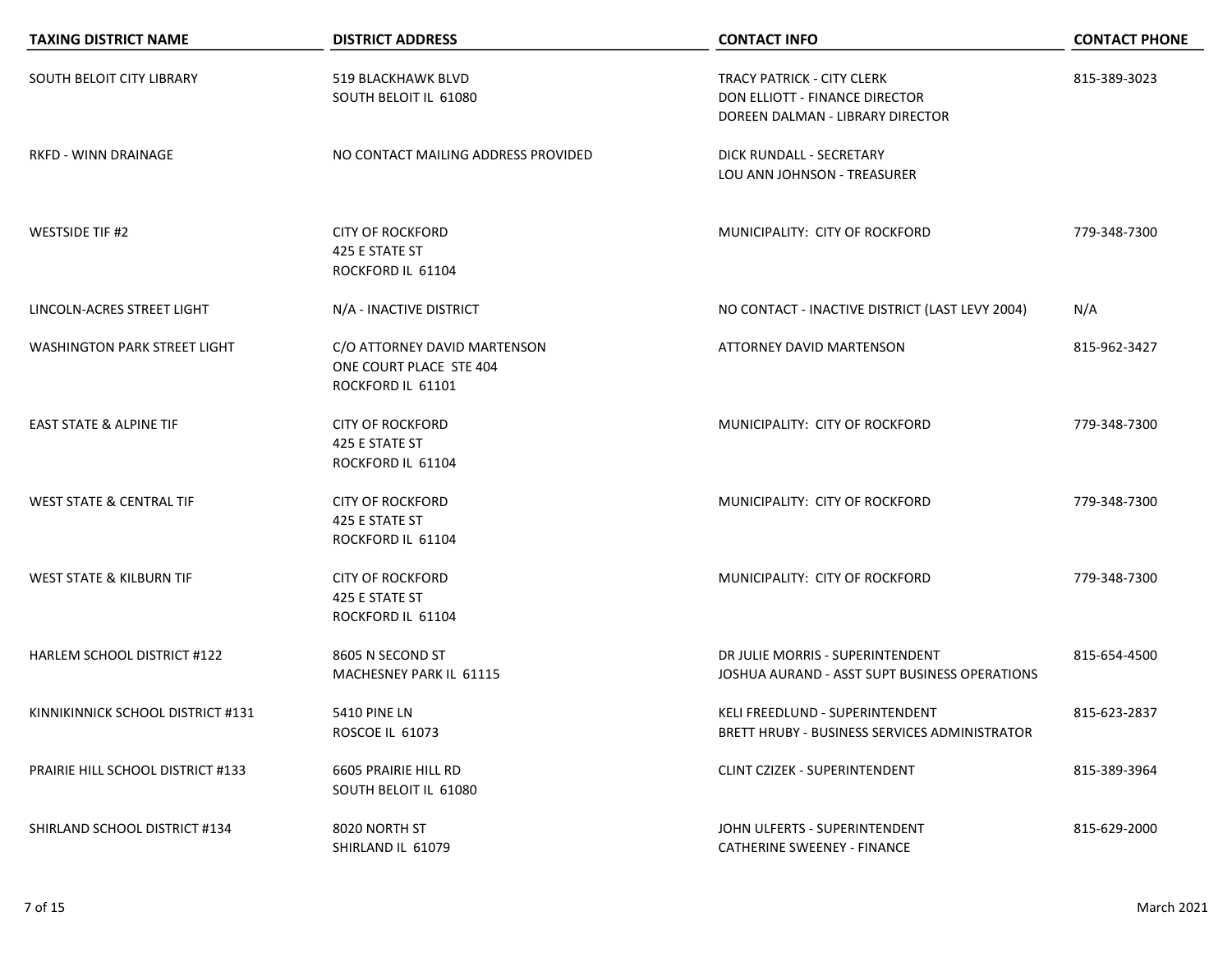| <b>TAXING DISTRICT NAME</b>              | <b>DISTRICT ADDRESS</b>                                                      | <b>CONTACT INFO</b>                                                                                     | <b>CONTACT PHONE</b> |
|------------------------------------------|------------------------------------------------------------------------------|---------------------------------------------------------------------------------------------------------|----------------------|
| SOUTH BELOIT CITY LIBRARY                | 519 BLACKHAWK BLVD<br>SOUTH BELOIT IL 61080                                  | <b>TRACY PATRICK - CITY CLERK</b><br>DON ELLIOTT - FINANCE DIRECTOR<br>DOREEN DALMAN - LIBRARY DIRECTOR | 815-389-3023         |
| RKFD - WINN DRAINAGE                     | NO CONTACT MAILING ADDRESS PROVIDED                                          | DICK RUNDALL - SECRETARY<br>LOU ANN JOHNSON - TREASURER                                                 |                      |
| <b>WESTSIDE TIF #2</b>                   | <b>CITY OF ROCKFORD</b><br>425 E STATE ST<br>ROCKFORD IL 61104               | MUNICIPALITY: CITY OF ROCKFORD                                                                          | 779-348-7300         |
| LINCOLN-ACRES STREET LIGHT               | N/A - INACTIVE DISTRICT                                                      | NO CONTACT - INACTIVE DISTRICT (LAST LEVY 2004)                                                         | N/A                  |
| <b>WASHINGTON PARK STREET LIGHT</b>      | C/O ATTORNEY DAVID MARTENSON<br>ONE COURT PLACE STE 404<br>ROCKFORD IL 61101 | ATTORNEY DAVID MARTENSON                                                                                | 815-962-3427         |
| <b>EAST STATE &amp; ALPINE TIF</b>       | <b>CITY OF ROCKFORD</b><br>425 E STATE ST<br>ROCKFORD IL 61104               | MUNICIPALITY: CITY OF ROCKFORD                                                                          | 779-348-7300         |
| <b>WEST STATE &amp; CENTRAL TIF</b>      | <b>CITY OF ROCKFORD</b><br>425 E STATE ST<br>ROCKFORD IL 61104               | MUNICIPALITY: CITY OF ROCKFORD                                                                          | 779-348-7300         |
| WEST STATE & KILBURN TIF                 | <b>CITY OF ROCKFORD</b><br>425 E STATE ST<br>ROCKFORD IL 61104               | MUNICIPALITY: CITY OF ROCKFORD                                                                          | 779-348-7300         |
| <b>HARLEM SCHOOL DISTRICT #122</b>       | 8605 N SECOND ST<br>MACHESNEY PARK IL 61115                                  | DR JULIE MORRIS - SUPERINTENDENT<br>JOSHUA AURAND - ASST SUPT BUSINESS OPERATIONS                       | 815-654-4500         |
| KINNIKINNICK SCHOOL DISTRICT #131        | 5410 PINE LN<br>ROSCOE IL 61073                                              | KELI FREEDLUND - SUPERINTENDENT<br>BRETT HRUBY - BUSINESS SERVICES ADMINISTRATOR                        | 815-623-2837         |
| <b>PRAIRIE HILL SCHOOL DISTRICT #133</b> | 6605 PRAIRIE HILL RD<br>SOUTH BELOIT IL 61080                                | CLINT CZIZEK - SUPERINTENDENT                                                                           | 815-389-3964         |
| SHIRLAND SCHOOL DISTRICT #134            | 8020 NORTH ST<br>SHIRLAND IL 61079                                           | JOHN ULFERTS - SUPERINTENDENT<br><b>CATHERINE SWEENEY - FINANCE</b>                                     | 815-629-2000         |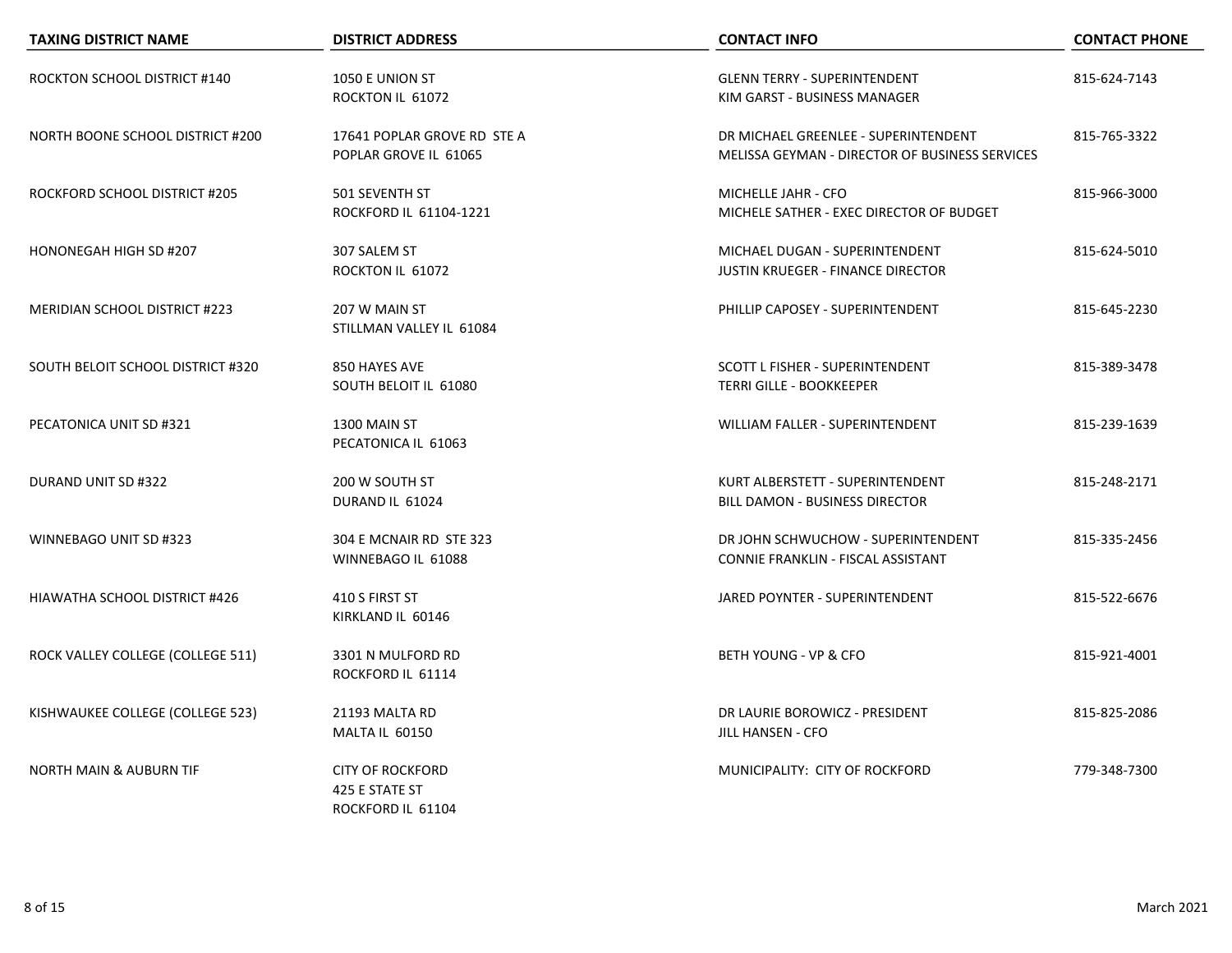| <b>TAXING DISTRICT NAME</b>          | <b>DISTRICT ADDRESS</b>                                        | <b>CONTACT INFO</b>                                                                    | <b>CONTACT PHONE</b> |
|--------------------------------------|----------------------------------------------------------------|----------------------------------------------------------------------------------------|----------------------|
| ROCKTON SCHOOL DISTRICT #140         | 1050 E UNION ST<br>ROCKTON IL 61072                            | <b>GLENN TERRY - SUPERINTENDENT</b><br>KIM GARST - BUSINESS MANAGER                    | 815-624-7143         |
| NORTH BOONE SCHOOL DISTRICT #200     | 17641 POPLAR GROVE RD STE A<br>POPLAR GROVE IL 61065           | DR MICHAEL GREENLEE - SUPERINTENDENT<br>MELISSA GEYMAN - DIRECTOR OF BUSINESS SERVICES | 815-765-3322         |
| ROCKFORD SCHOOL DISTRICT #205        | 501 SEVENTH ST<br>ROCKFORD IL 61104-1221                       | MICHELLE JAHR - CFO<br>MICHELE SATHER - EXEC DIRECTOR OF BUDGET                        | 815-966-3000         |
| HONONEGAH HIGH SD #207               | 307 SALEM ST<br>ROCKTON IL 61072                               | MICHAEL DUGAN - SUPERINTENDENT<br><b>JUSTIN KRUEGER - FINANCE DIRECTOR</b>             | 815-624-5010         |
| <b>MERIDIAN SCHOOL DISTRICT #223</b> | 207 W MAIN ST<br>STILLMAN VALLEY IL 61084                      | PHILLIP CAPOSEY - SUPERINTENDENT                                                       | 815-645-2230         |
| SOUTH BELOIT SCHOOL DISTRICT #320    | 850 HAYES AVE<br>SOUTH BELOIT IL 61080                         | SCOTT L FISHER - SUPERINTENDENT<br><b>TERRI GILLE - BOOKKEEPER</b>                     | 815-389-3478         |
| PECATONICA UNIT SD #321              | 1300 MAIN ST<br>PECATONICA IL 61063                            | <b>WILLIAM FALLER - SUPERINTENDENT</b>                                                 | 815-239-1639         |
| DURAND UNIT SD #322                  | 200 W SOUTH ST<br>DURAND IL 61024                              | KURT ALBERSTETT - SUPERINTENDENT<br>BILL DAMON - BUSINESS DIRECTOR                     | 815-248-2171         |
| WINNEBAGO UNIT SD #323               | 304 E MCNAIR RD STE 323<br>WINNEBAGO IL 61088                  | DR JOHN SCHWUCHOW - SUPERINTENDENT<br>CONNIE FRANKLIN - FISCAL ASSISTANT               | 815-335-2456         |
| HIAWATHA SCHOOL DISTRICT #426        | 410 S FIRST ST<br>KIRKLAND IL 60146                            | JARED POYNTER - SUPERINTENDENT                                                         | 815-522-6676         |
| ROCK VALLEY COLLEGE (COLLEGE 511)    | 3301 N MULFORD RD<br>ROCKFORD IL 61114                         | BETH YOUNG - VP & CFO                                                                  | 815-921-4001         |
| KISHWAUKEE COLLEGE (COLLEGE 523)     | 21193 MALTA RD<br>MALTA IL 60150                               | DR LAURIE BOROWICZ - PRESIDENT<br><b>JILL HANSEN - CFO</b>                             | 815-825-2086         |
| <b>NORTH MAIN &amp; AUBURN TIF</b>   | <b>CITY OF ROCKFORD</b><br>425 E STATE ST<br>ROCKFORD IL 61104 | MUNICIPALITY: CITY OF ROCKFORD                                                         | 779-348-7300         |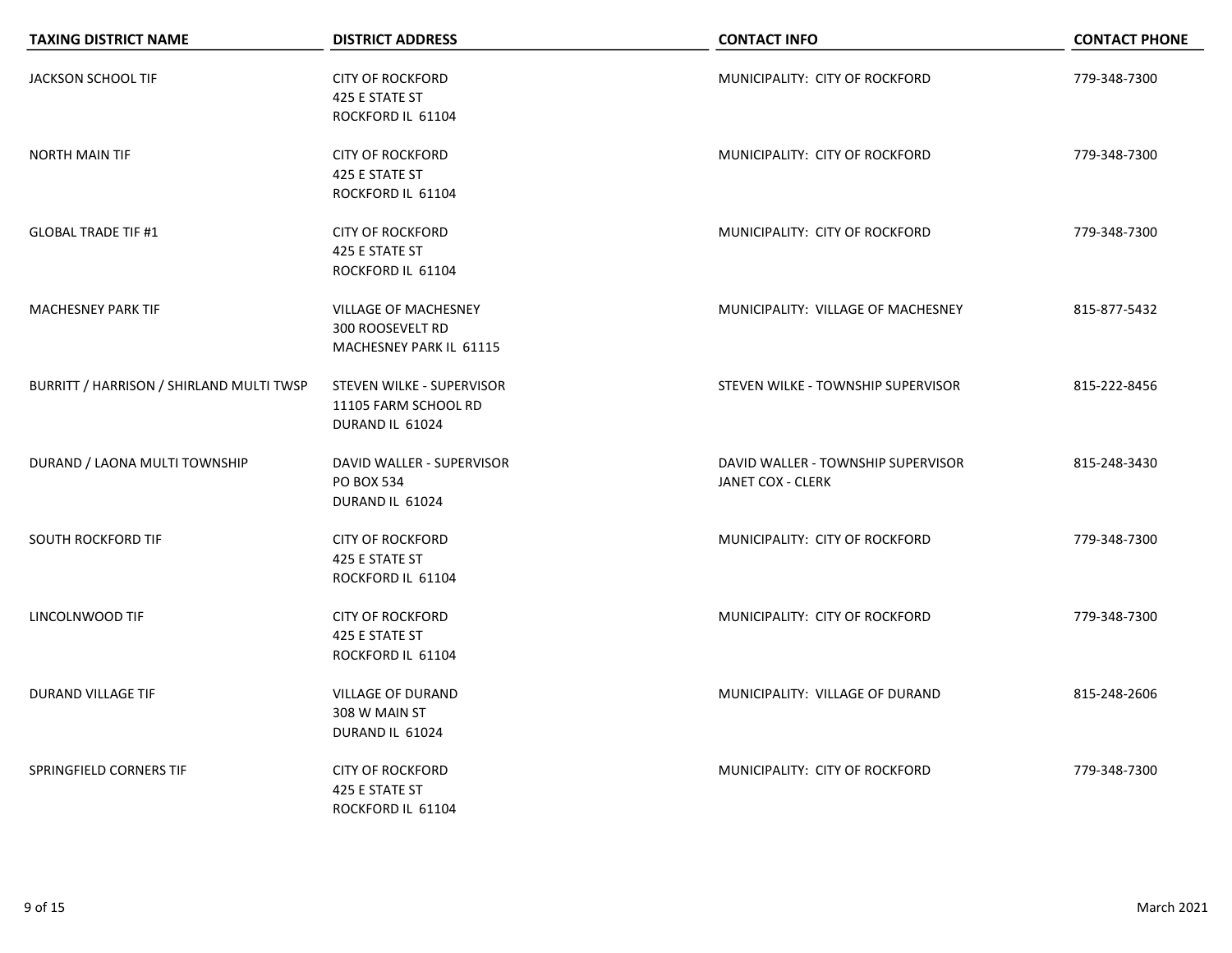| <b>TAXING DISTRICT NAME</b>              | <b>DISTRICT ADDRESS</b>                                                           | <b>CONTACT INFO</b>                                     | <b>CONTACT PHONE</b> |
|------------------------------------------|-----------------------------------------------------------------------------------|---------------------------------------------------------|----------------------|
| JACKSON SCHOOL TIF                       | <b>CITY OF ROCKFORD</b><br>425 E STATE ST<br>ROCKFORD IL 61104                    | MUNICIPALITY: CITY OF ROCKFORD                          | 779-348-7300         |
| <b>NORTH MAIN TIF</b>                    | <b>CITY OF ROCKFORD</b><br>425 E STATE ST<br>ROCKFORD IL 61104                    | MUNICIPALITY: CITY OF ROCKFORD                          | 779-348-7300         |
| <b>GLOBAL TRADE TIF #1</b>               | <b>CITY OF ROCKFORD</b><br>425 E STATE ST<br>ROCKFORD IL 61104                    | MUNICIPALITY: CITY OF ROCKFORD                          | 779-348-7300         |
| <b>MACHESNEY PARK TIF</b>                | <b>VILLAGE OF MACHESNEY</b><br><b>300 ROOSEVELT RD</b><br>MACHESNEY PARK IL 61115 | MUNICIPALITY: VILLAGE OF MACHESNEY                      | 815-877-5432         |
| BURRITT / HARRISON / SHIRLAND MULTI TWSP | STEVEN WILKE - SUPERVISOR<br>11105 FARM SCHOOL RD<br>DURAND IL 61024              | STEVEN WILKE - TOWNSHIP SUPERVISOR                      | 815-222-8456         |
| DURAND / LAONA MULTI TOWNSHIP            | DAVID WALLER - SUPERVISOR<br><b>PO BOX 534</b><br>DURAND IL 61024                 | DAVID WALLER - TOWNSHIP SUPERVISOR<br>JANET COX - CLERK | 815-248-3430         |
| SOUTH ROCKFORD TIF                       | <b>CITY OF ROCKFORD</b><br>425 E STATE ST<br>ROCKFORD IL 61104                    | MUNICIPALITY: CITY OF ROCKFORD                          | 779-348-7300         |
| LINCOLNWOOD TIF                          | <b>CITY OF ROCKFORD</b><br>425 E STATE ST<br>ROCKFORD IL 61104                    | MUNICIPALITY: CITY OF ROCKFORD                          | 779-348-7300         |
| DURAND VILLAGE TIF                       | <b>VILLAGE OF DURAND</b><br>308 W MAIN ST<br>DURAND IL 61024                      | MUNICIPALITY: VILLAGE OF DURAND                         | 815-248-2606         |
| SPRINGFIELD CORNERS TIF                  | <b>CITY OF ROCKFORD</b><br>425 E STATE ST<br>ROCKFORD IL 61104                    | MUNICIPALITY: CITY OF ROCKFORD                          | 779-348-7300         |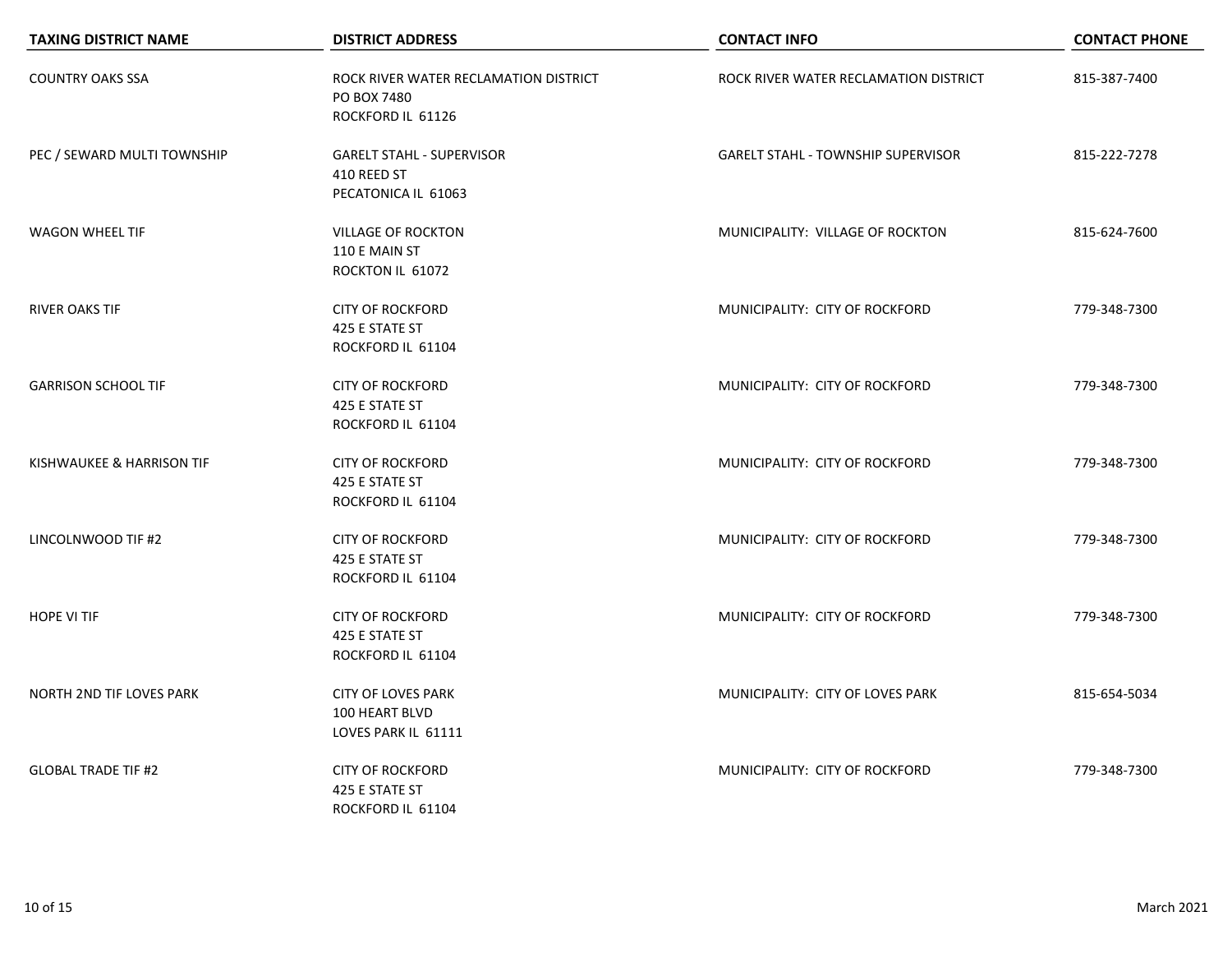| <b>TAXING DISTRICT NAME</b>     | <b>DISTRICT ADDRESS</b>                                                             | <b>CONTACT INFO</b>                       | <b>CONTACT PHONE</b> |
|---------------------------------|-------------------------------------------------------------------------------------|-------------------------------------------|----------------------|
| <b>COUNTRY OAKS SSA</b>         | ROCK RIVER WATER RECLAMATION DISTRICT<br>PO BOX 7480<br>ROCKFORD IL 61126           | ROCK RIVER WATER RECLAMATION DISTRICT     | 815-387-7400         |
| PEC / SEWARD MULTI TOWNSHIP     | <b>GARELT STAHL - SUPERVISOR</b><br>410 REED ST<br>PECATONICA IL 61063              | <b>GARELT STAHL - TOWNSHIP SUPERVISOR</b> | 815-222-7278         |
| <b>WAGON WHEEL TIF</b>          | <b>VILLAGE OF ROCKTON</b><br>110 E MAIN ST<br>ROCKTON IL 61072                      | MUNICIPALITY: VILLAGE OF ROCKTON          | 815-624-7600         |
| <b>RIVER OAKS TIF</b>           | <b>CITY OF ROCKFORD</b><br>425 E STATE ST<br>ROCKFORD IL 61104                      | MUNICIPALITY: CITY OF ROCKFORD            | 779-348-7300         |
| <b>GARRISON SCHOOL TIF</b>      | <b>CITY OF ROCKFORD</b><br>425 E STATE ST                                           | MUNICIPALITY: CITY OF ROCKFORD            | 779-348-7300         |
| KISHWAUKEE & HARRISON TIF       | ROCKFORD IL 61104<br><b>CITY OF ROCKFORD</b><br>425 E STATE ST                      | MUNICIPALITY: CITY OF ROCKFORD            | 779-348-7300         |
| LINCOLNWOOD TIF #2              | ROCKFORD IL 61104<br><b>CITY OF ROCKFORD</b><br>425 E STATE ST                      | MUNICIPALITY: CITY OF ROCKFORD            | 779-348-7300         |
| <b>HOPE VI TIF</b>              | ROCKFORD IL 61104<br><b>CITY OF ROCKFORD</b><br>425 E STATE ST<br>ROCKFORD IL 61104 | MUNICIPALITY: CITY OF ROCKFORD            | 779-348-7300         |
| <b>NORTH 2ND TIF LOVES PARK</b> | <b>CITY OF LOVES PARK</b><br>100 HEART BLVD<br>LOVES PARK IL 61111                  | MUNICIPALITY: CITY OF LOVES PARK          | 815-654-5034         |
| <b>GLOBAL TRADE TIF #2</b>      | <b>CITY OF ROCKFORD</b><br>425 E STATE ST<br>ROCKFORD IL 61104                      | MUNICIPALITY: CITY OF ROCKFORD            | 779-348-7300         |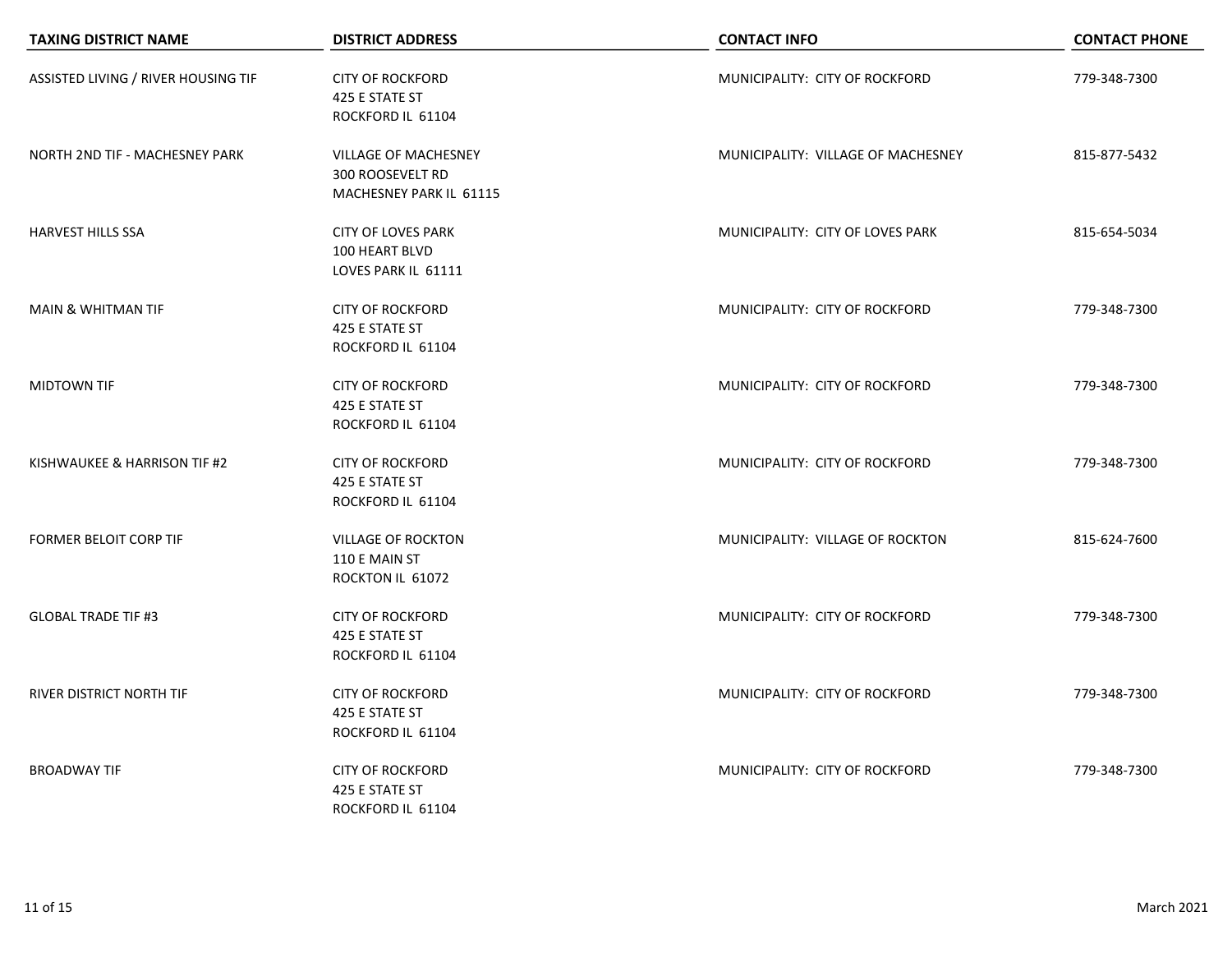| <b>TAXING DISTRICT NAME</b>         | <b>DISTRICT ADDRESS</b>                                                    | <b>CONTACT INFO</b>                | <b>CONTACT PHONE</b> |
|-------------------------------------|----------------------------------------------------------------------------|------------------------------------|----------------------|
| ASSISTED LIVING / RIVER HOUSING TIF | <b>CITY OF ROCKFORD</b><br>425 E STATE ST<br>ROCKFORD IL 61104             | MUNICIPALITY: CITY OF ROCKFORD     | 779-348-7300         |
| NORTH 2ND TIF - MACHESNEY PARK      | <b>VILLAGE OF MACHESNEY</b><br>300 ROOSEVELT RD<br>MACHESNEY PARK IL 61115 | MUNICIPALITY: VILLAGE OF MACHESNEY | 815-877-5432         |
| <b>HARVEST HILLS SSA</b>            | <b>CITY OF LOVES PARK</b><br>100 HEART BLVD<br>LOVES PARK IL 61111         | MUNICIPALITY: CITY OF LOVES PARK   | 815-654-5034         |
| <b>MAIN &amp; WHITMAN TIF</b>       | <b>CITY OF ROCKFORD</b><br>425 E STATE ST<br>ROCKFORD IL 61104             | MUNICIPALITY: CITY OF ROCKFORD     | 779-348-7300         |
| <b>MIDTOWN TIF</b>                  | <b>CITY OF ROCKFORD</b><br>425 E STATE ST<br>ROCKFORD IL 61104             | MUNICIPALITY: CITY OF ROCKFORD     | 779-348-7300         |
| KISHWAUKEE & HARRISON TIF #2        | <b>CITY OF ROCKFORD</b><br>425 E STATE ST<br>ROCKFORD IL 61104             | MUNICIPALITY: CITY OF ROCKFORD     | 779-348-7300         |
| <b>FORMER BELOIT CORP TIF</b>       | <b>VILLAGE OF ROCKTON</b><br>110 E MAIN ST<br>ROCKTON IL 61072             | MUNICIPALITY: VILLAGE OF ROCKTON   | 815-624-7600         |
| <b>GLOBAL TRADE TIF #3</b>          | <b>CITY OF ROCKFORD</b><br>425 E STATE ST<br>ROCKFORD IL 61104             | MUNICIPALITY: CITY OF ROCKFORD     | 779-348-7300         |
| RIVER DISTRICT NORTH TIF            | <b>CITY OF ROCKFORD</b><br>425 E STATE ST<br>ROCKFORD IL 61104             | MUNICIPALITY: CITY OF ROCKFORD     | 779-348-7300         |
| <b>BROADWAY TIF</b>                 | <b>CITY OF ROCKFORD</b><br>425 E STATE ST<br>ROCKFORD IL 61104             | MUNICIPALITY: CITY OF ROCKFORD     | 779-348-7300         |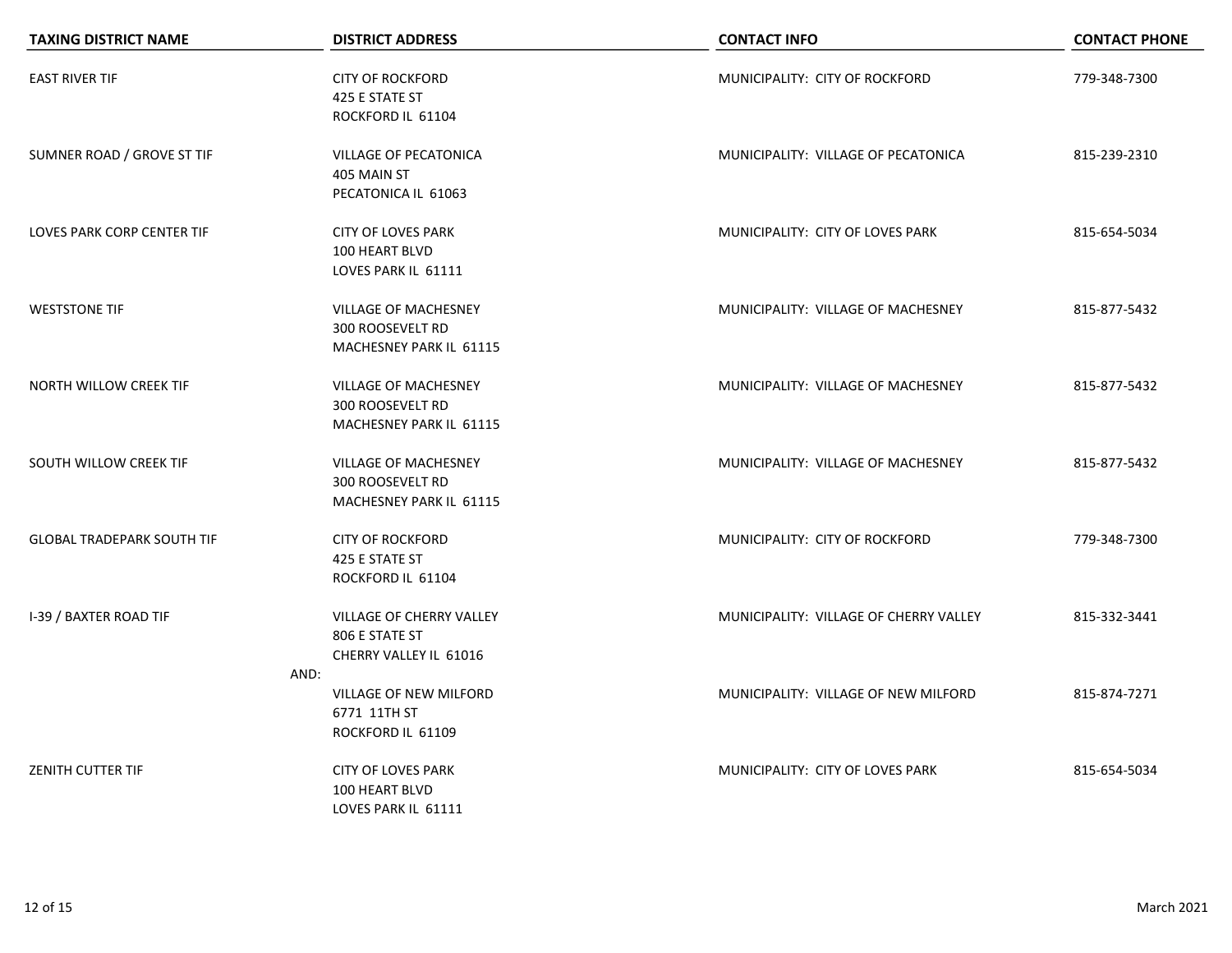| <b>TAXING DISTRICT NAME</b>       | <b>DISTRICT ADDRESS</b>                   | <b>CONTACT INFO</b>                    | <b>CONTACT PHONE</b> |
|-----------------------------------|-------------------------------------------|----------------------------------------|----------------------|
| <b>EAST RIVER TIF</b>             | <b>CITY OF ROCKFORD</b><br>425 E STATE ST | MUNICIPALITY: CITY OF ROCKFORD         | 779-348-7300         |
|                                   | ROCKFORD IL 61104                         |                                        |                      |
| SUMNER ROAD / GROVE ST TIF        | VILLAGE OF PECATONICA                     | MUNICIPALITY: VILLAGE OF PECATONICA    | 815-239-2310         |
|                                   | 405 MAIN ST                               |                                        |                      |
|                                   | PECATONICA IL 61063                       |                                        |                      |
| LOVES PARK CORP CENTER TIF        | <b>CITY OF LOVES PARK</b>                 | MUNICIPALITY: CITY OF LOVES PARK       | 815-654-5034         |
|                                   | 100 HEART BLVD                            |                                        |                      |
|                                   | LOVES PARK IL 61111                       |                                        |                      |
| <b>WESTSTONE TIF</b>              | <b>VILLAGE OF MACHESNEY</b>               | MUNICIPALITY: VILLAGE OF MACHESNEY     | 815-877-5432         |
|                                   | <b>300 ROOSEVELT RD</b>                   |                                        |                      |
|                                   | MACHESNEY PARK IL 61115                   |                                        |                      |
| NORTH WILLOW CREEK TIF            | VILLAGE OF MACHESNEY                      | MUNICIPALITY: VILLAGE OF MACHESNEY     | 815-877-5432         |
|                                   | <b>300 ROOSEVELT RD</b>                   |                                        |                      |
|                                   | MACHESNEY PARK IL 61115                   |                                        |                      |
| SOUTH WILLOW CREEK TIF            | <b>VILLAGE OF MACHESNEY</b>               | MUNICIPALITY: VILLAGE OF MACHESNEY     | 815-877-5432         |
|                                   | 300 ROOSEVELT RD                          |                                        |                      |
|                                   | MACHESNEY PARK IL 61115                   |                                        |                      |
| <b>GLOBAL TRADEPARK SOUTH TIF</b> | <b>CITY OF ROCKFORD</b>                   | MUNICIPALITY: CITY OF ROCKFORD         | 779-348-7300         |
|                                   | 425 E STATE ST                            |                                        |                      |
|                                   | ROCKFORD IL 61104                         |                                        |                      |
| <b>I-39 / BAXTER ROAD TIF</b>     | VILLAGE OF CHERRY VALLEY                  | MUNICIPALITY: VILLAGE OF CHERRY VALLEY | 815-332-3441         |
|                                   | 806 E STATE ST                            |                                        |                      |
|                                   | CHERRY VALLEY IL 61016                    |                                        |                      |
|                                   | AND:                                      |                                        |                      |
|                                   | VILLAGE OF NEW MILFORD<br>6771 11TH ST    | MUNICIPALITY: VILLAGE OF NEW MILFORD   | 815-874-7271         |
|                                   | ROCKFORD IL 61109                         |                                        |                      |
|                                   |                                           |                                        |                      |
| <b>ZENITH CUTTER TIF</b>          | <b>CITY OF LOVES PARK</b>                 | MUNICIPALITY: CITY OF LOVES PARK       | 815-654-5034         |
|                                   | 100 HEART BLVD                            |                                        |                      |
|                                   | LOVES PARK IL 61111                       |                                        |                      |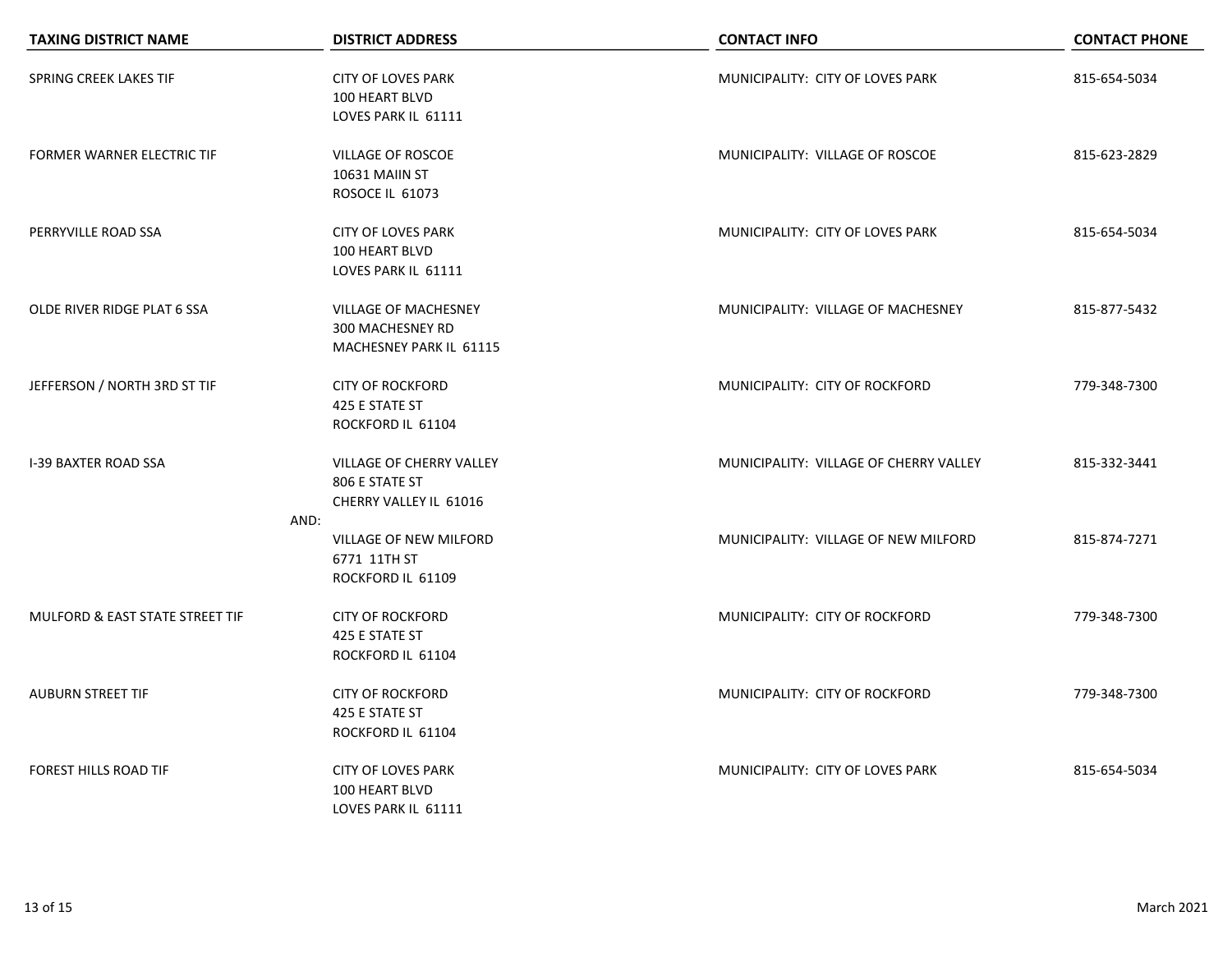| <b>TAXING DISTRICT NAME</b>       | <b>DISTRICT ADDRESS</b>                                                    | <b>CONTACT INFO</b>                    | <b>CONTACT PHONE</b> |
|-----------------------------------|----------------------------------------------------------------------------|----------------------------------------|----------------------|
| SPRING CREEK LAKES TIF            | <b>CITY OF LOVES PARK</b><br>100 HEART BLVD<br>LOVES PARK IL 61111         | MUNICIPALITY: CITY OF LOVES PARK       | 815-654-5034         |
| <b>FORMER WARNER ELECTRIC TIF</b> | VILLAGE OF ROSCOE<br>10631 MAIIN ST<br><b>ROSOCE IL 61073</b>              | MUNICIPALITY: VILLAGE OF ROSCOE        | 815-623-2829         |
| PERRYVILLE ROAD SSA               | <b>CITY OF LOVES PARK</b><br>100 HEART BLVD<br>LOVES PARK IL 61111         | MUNICIPALITY: CITY OF LOVES PARK       | 815-654-5034         |
| OLDE RIVER RIDGE PLAT 6 SSA       | <b>VILLAGE OF MACHESNEY</b><br>300 MACHESNEY RD<br>MACHESNEY PARK IL 61115 | MUNICIPALITY: VILLAGE OF MACHESNEY     | 815-877-5432         |
| JEFFERSON / NORTH 3RD ST TIF      | <b>CITY OF ROCKFORD</b><br>425 E STATE ST<br>ROCKFORD IL 61104             | MUNICIPALITY: CITY OF ROCKFORD         | 779-348-7300         |
| <b>I-39 BAXTER ROAD SSA</b>       | VILLAGE OF CHERRY VALLEY<br>806 E STATE ST<br>CHERRY VALLEY IL 61016       | MUNICIPALITY: VILLAGE OF CHERRY VALLEY | 815-332-3441         |
|                                   | AND:<br>VILLAGE OF NEW MILFORD<br>6771 11TH ST<br>ROCKFORD IL 61109        | MUNICIPALITY: VILLAGE OF NEW MILFORD   | 815-874-7271         |
| MULFORD & EAST STATE STREET TIF   | <b>CITY OF ROCKFORD</b><br>425 E STATE ST<br>ROCKFORD IL 61104             | MUNICIPALITY: CITY OF ROCKFORD         | 779-348-7300         |
| <b>AUBURN STREET TIF</b>          | <b>CITY OF ROCKFORD</b><br>425 E STATE ST<br>ROCKFORD IL 61104             | MUNICIPALITY: CITY OF ROCKFORD         | 779-348-7300         |
| FOREST HILLS ROAD TIF             | <b>CITY OF LOVES PARK</b><br>100 HEART BLVD<br>LOVES PARK IL 61111         | MUNICIPALITY: CITY OF LOVES PARK       | 815-654-5034         |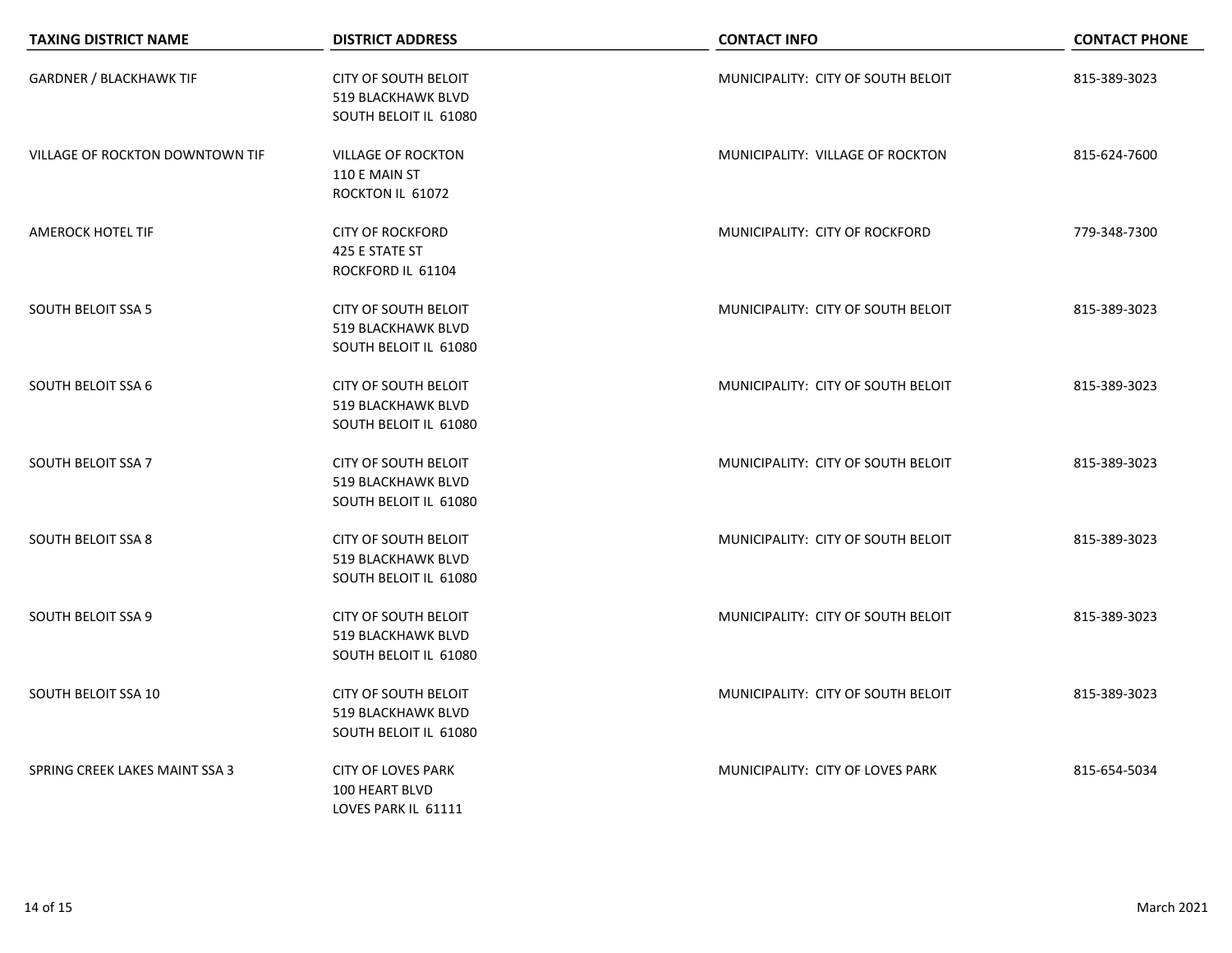| <b>TAXING DISTRICT NAME</b>     | <b>DISTRICT ADDRESS</b>                                                           | <b>CONTACT INFO</b>                | <b>CONTACT PHONE</b> |
|---------------------------------|-----------------------------------------------------------------------------------|------------------------------------|----------------------|
| <b>GARDNER / BLACKHAWK TIF</b>  | <b>CITY OF SOUTH BELOIT</b><br><b>519 BLACKHAWK BLVD</b><br>SOUTH BELOIT IL 61080 | MUNICIPALITY: CITY OF SOUTH BELOIT | 815-389-3023         |
| VILLAGE OF ROCKTON DOWNTOWN TIF | <b>VILLAGE OF ROCKTON</b><br>110 E MAIN ST<br>ROCKTON IL 61072                    | MUNICIPALITY: VILLAGE OF ROCKTON   | 815-624-7600         |
| <b>AMEROCK HOTEL TIF</b>        | <b>CITY OF ROCKFORD</b><br>425 E STATE ST<br>ROCKFORD IL 61104                    | MUNICIPALITY: CITY OF ROCKFORD     | 779-348-7300         |
| <b>SOUTH BELOIT SSA 5</b>       | <b>CITY OF SOUTH BELOIT</b><br>519 BLACKHAWK BLVD<br>SOUTH BELOIT IL 61080        | MUNICIPALITY: CITY OF SOUTH BELOIT | 815-389-3023         |
| <b>SOUTH BELOIT SSA 6</b>       | <b>CITY OF SOUTH BELOIT</b><br>519 BLACKHAWK BLVD<br>SOUTH BELOIT IL 61080        | MUNICIPALITY: CITY OF SOUTH BELOIT | 815-389-3023         |
| <b>SOUTH BELOIT SSA 7</b>       | <b>CITY OF SOUTH BELOIT</b><br>519 BLACKHAWK BLVD<br>SOUTH BELOIT IL 61080        | MUNICIPALITY: CITY OF SOUTH BELOIT | 815-389-3023         |
| <b>SOUTH BELOIT SSA 8</b>       | <b>CITY OF SOUTH BELOIT</b><br>519 BLACKHAWK BLVD<br>SOUTH BELOIT IL 61080        | MUNICIPALITY: CITY OF SOUTH BELOIT | 815-389-3023         |
| <b>SOUTH BELOIT SSA 9</b>       | <b>CITY OF SOUTH BELOIT</b><br>519 BLACKHAWK BLVD<br>SOUTH BELOIT IL 61080        | MUNICIPALITY: CITY OF SOUTH BELOIT | 815-389-3023         |
| SOUTH BELOIT SSA 10             | <b>CITY OF SOUTH BELOIT</b><br>519 BLACKHAWK BLVD<br>SOUTH BELOIT IL 61080        | MUNICIPALITY: CITY OF SOUTH BELOIT | 815-389-3023         |
| SPRING CREEK LAKES MAINT SSA 3  | <b>CITY OF LOVES PARK</b><br>100 HEART BLVD<br>LOVES PARK IL 61111                | MUNICIPALITY: CITY OF LOVES PARK   | 815-654-5034         |